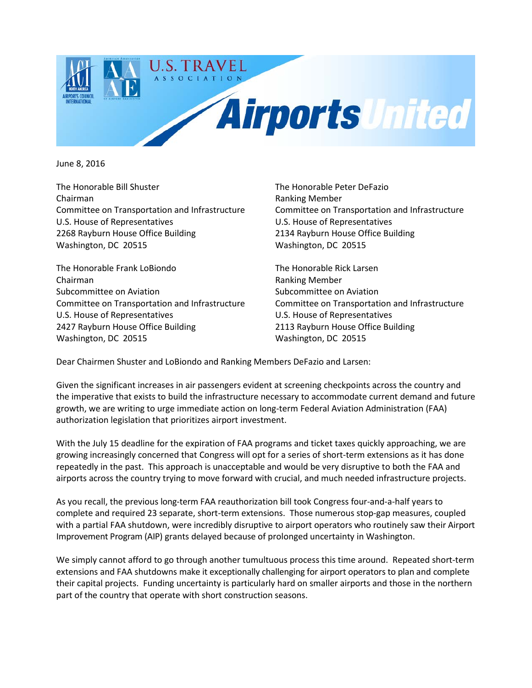

June 8, 2016

The Honorable Bill Shuster The Honorable Peter DeFazio Chairman Ranking Member Committee on Transportation and Infrastructure Committee on Transportation and Infrastructure U.S. House of Representatives U.S. House of Representatives 2268 Rayburn House Office Building 2134 Rayburn House Office Building Washington, DC 20515 Washington, DC 20515

The Honorable Frank LoBiondo The Honorable Rick Larsen Chairman Ranking Member Subcommittee on Aviation Subcommittee on Aviation Subcommittee on Aviation Committee on Transportation and Infrastructure Committee on Transportation and Infrastructure U.S. House of Representatives U.S. House of Representatives 2427 Rayburn House Office Building 2113 Rayburn House Office Building Washington, DC 20515 Washington, DC 20515

Dear Chairmen Shuster and LoBiondo and Ranking Members DeFazio and Larsen:

Given the significant increases in air passengers evident at screening checkpoints across the country and the imperative that exists to build the infrastructure necessary to accommodate current demand and future growth, we are writing to urge immediate action on long-term Federal Aviation Administration (FAA) authorization legislation that prioritizes airport investment.

With the July 15 deadline for the expiration of FAA programs and ticket taxes quickly approaching, we are growing increasingly concerned that Congress will opt for a series of short-term extensions as it has done repeatedly in the past. This approach is unacceptable and would be very disruptive to both the FAA and airports across the country trying to move forward with crucial, and much needed infrastructure projects.

As you recall, the previous long-term FAA reauthorization bill took Congress four-and-a-half years to complete and required 23 separate, short-term extensions. Those numerous stop-gap measures, coupled with a partial FAA shutdown, were incredibly disruptive to airport operators who routinely saw their Airport Improvement Program (AIP) grants delayed because of prolonged uncertainty in Washington.

We simply cannot afford to go through another tumultuous process this time around. Repeated short-term extensions and FAA shutdowns make it exceptionally challenging for airport operators to plan and complete their capital projects. Funding uncertainty is particularly hard on smaller airports and those in the northern part of the country that operate with short construction seasons.